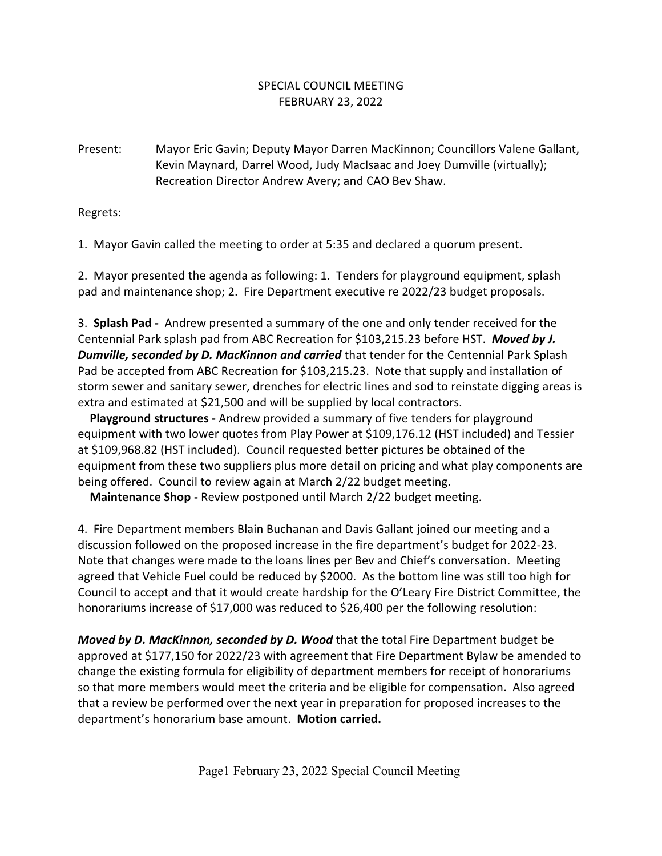## SPECIAL COUNCIL MEETING FEBRUARY 23, 2022

Present: Mayor Eric Gavin; Deputy Mayor Darren MacKinnon; Councillors Valene Gallant, Kevin Maynard, Darrel Wood, Judy MacIsaac and Joey Dumville (virtually); Recreation Director Andrew Avery; and CAO Bev Shaw.

Regrets:

1. Mayor Gavin called the meeting to order at 5:35 and declared a quorum present.

2. Mayor presented the agenda as following: 1. Tenders for playground equipment, splash pad and maintenance shop; 2. Fire Department executive re 2022/23 budget proposals.

3. **Splash Pad -** Andrew presented a summary of the one and only tender received for the Centennial Park splash pad from ABC Recreation for \$103,215.23 before HST. *Moved by J. Dumville, seconded by D. MacKinnon and carried* that tender for the Centennial Park Splash Pad be accepted from ABC Recreation for \$103,215.23. Note that supply and installation of storm sewer and sanitary sewer, drenches for electric lines and sod to reinstate digging areas is extra and estimated at \$21,500 and will be supplied by local contractors.

 **Playground structures -** Andrew provided a summary of five tenders for playground equipment with two lower quotes from Play Power at \$109,176.12 (HST included) and Tessier at \$109,968.82 (HST included). Council requested better pictures be obtained of the equipment from these two suppliers plus more detail on pricing and what play components are being offered. Council to review again at March 2/22 budget meeting.

**Maintenance Shop -** Review postponed until March 2/22 budget meeting.

4. Fire Department members Blain Buchanan and Davis Gallant joined our meeting and a discussion followed on the proposed increase in the fire department's budget for 2022-23. Note that changes were made to the loans lines per Bev and Chief's conversation. Meeting agreed that Vehicle Fuel could be reduced by \$2000. As the bottom line was still too high for Council to accept and that it would create hardship for the O'Leary Fire District Committee, the honorariums increase of \$17,000 was reduced to \$26,400 per the following resolution:

*Moved by D. MacKinnon, seconded by D. Wood* that the total Fire Department budget be approved at \$177,150 for 2022/23 with agreement that Fire Department Bylaw be amended to change the existing formula for eligibility of department members for receipt of honorariums so that more members would meet the criteria and be eligible for compensation. Also agreed that a review be performed over the next year in preparation for proposed increases to the department's honorarium base amount. **Motion carried.**

Page1 February 23, 2022 Special Council Meeting